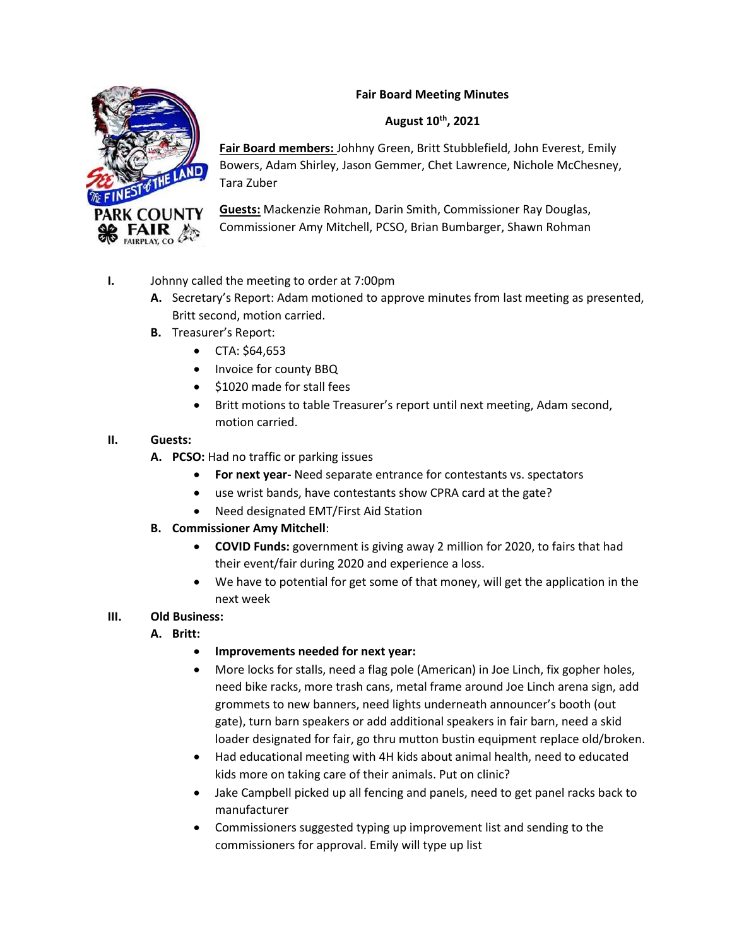# **Fair Board Meeting Minutes**



**Fair Board members:** Johhny Green, Britt Stubblefield, John Everest, Emily Bowers, Adam Shirley, Jason Gemmer, Chet Lawrence, Nichole McChesney, Tara Zuber

**Guests:** Mackenzie Rohman, Darin Smith, Commissioner Ray Douglas, Commissioner Amy Mitchell, PCSO, Brian Bumbarger, Shawn Rohman

- **I.** Johnny called the meeting to order at 7:00pm
	- **A.** Secretary's Report: Adam motioned to approve minutes from last meeting as presented, Britt second, motion carried.
	- **B.** Treasurer's Report:
		- CTA: \$64,653
		- Invoice for county BBQ
		- \$1020 made for stall fees
		- Britt motions to table Treasurer's report until next meeting, Adam second, motion carried.

## **II. Guests:**

- **A. PCSO:** Had no traffic or parking issues
	- **For next year-** Need separate entrance for contestants vs. spectators
	- use wrist bands, have contestants show CPRA card at the gate?
	- Need designated EMT/First Aid Station

## **B. Commissioner Amy Mitchell**:

- **COVID Funds:** government is giving away 2 million for 2020, to fairs that had their event/fair during 2020 and experience a loss.
- We have to potential for get some of that money, will get the application in the next week

## **III. Old Business:**

- **A. Britt:** 
	- **Improvements needed for next year:**
	- More locks for stalls, need a flag pole (American) in Joe Linch, fix gopher holes, need bike racks, more trash cans, metal frame around Joe Linch arena sign, add grommets to new banners, need lights underneath announcer's booth (out gate), turn barn speakers or add additional speakers in fair barn, need a skid loader designated for fair, go thru mutton bustin equipment replace old/broken.
	- Had educational meeting with 4H kids about animal health, need to educated kids more on taking care of their animals. Put on clinic?
	- Jake Campbell picked up all fencing and panels, need to get panel racks back to manufacturer
	- Commissioners suggested typing up improvement list and sending to the commissioners for approval. Emily will type up list

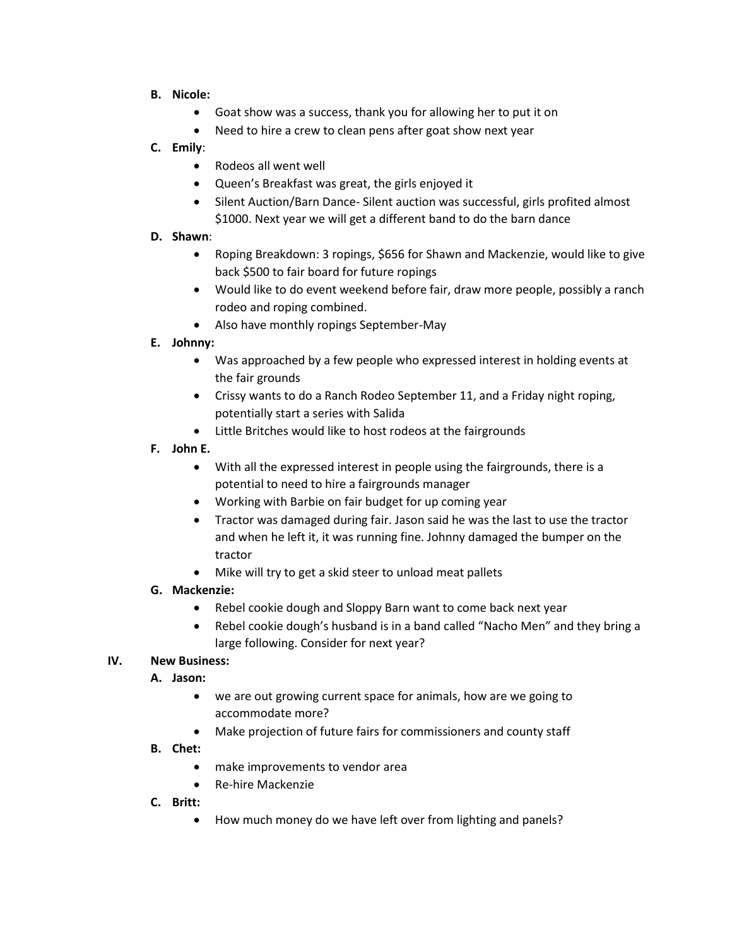- **B. Nicole:**
	- Goat show was a success, thank you for allowing her to put it on
	- Need to hire a crew to clean pens after goat show next year

### **C. Emily**:

- Rodeos all went well
- Queen's Breakfast was great, the girls enjoyed it
- Silent Auction/Barn Dance- Silent auction was successful, girls profited almost \$1000. Next year we will get a different band to do the barn dance

#### **D. Shawn**:

- Roping Breakdown: 3 ropings, \$656 for Shawn and Mackenzie, would like to give back \$500 to fair board for future ropings
- Would like to do event weekend before fair, draw more people, possibly a ranch rodeo and roping combined.
- Also have monthly ropings September-May

### **E. Johnny:**

- Was approached by a few people who expressed interest in holding events at the fair grounds
- Crissy wants to do a Ranch Rodeo September 11, and a Friday night roping, potentially start a series with Salida
- Little Britches would like to host rodeos at the fairgrounds

### **F. John E.**

- With all the expressed interest in people using the fairgrounds, there is a potential to need to hire a fairgrounds manager
- Working with Barbie on fair budget for up coming year
- Tractor was damaged during fair. Jason said he was the last to use the tractor and when he left it, it was running fine. Johnny damaged the bumper on the tractor
- Mike will try to get a skid steer to unload meat pallets

## **G. Mackenzie:**

- Rebel cookie dough and Sloppy Barn want to come back next year
- Rebel cookie dough's husband is in a band called "Nacho Men" and they bring a large following. Consider for next year?

#### **IV. New Business:**

#### **A. Jason:**

- we are out growing current space for animals, how are we going to accommodate more?
- Make projection of future fairs for commissioners and county staff
- **B. Chet:** 
	- make improvements to vendor area
	- Re-hire Mackenzie
- **C. Britt:** 
	- How much money do we have left over from lighting and panels?